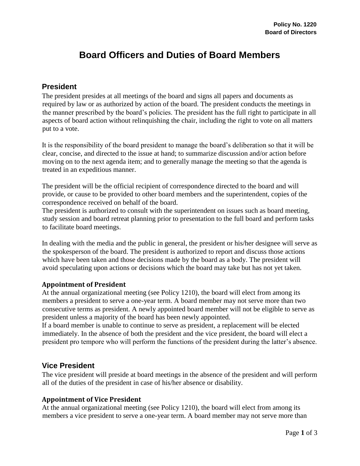# **Board Officers and Duties of Board Members**

### **President**

The president presides at all meetings of the board and signs all papers and documents as required by law or as authorized by action of the board. The president conducts the meetings in the manner prescribed by the board's policies. The president has the full right to participate in all aspects of board action without relinquishing the chair, including the right to vote on all matters put to a vote.

It is the responsibility of the board president to manage the board's deliberation so that it will be clear, concise, and directed to the issue at hand; to summarize discussion and/or action before moving on to the next agenda item; and to generally manage the meeting so that the agenda is treated in an expeditious manner.

The president will be the official recipient of correspondence directed to the board and will provide, or cause to be provided to other board members and the superintendent, copies of the correspondence received on behalf of the board.

The president is authorized to consult with the superintendent on issues such as board meeting, study session and board retreat planning prior to presentation to the full board and perform tasks to facilitate board meetings.

In dealing with the media and the public in general, the president or his/her designee will serve as the spokesperson of the board. The president is authorized to report and discuss those actions which have been taken and those decisions made by the board as a body. The president will avoid speculating upon actions or decisions which the board may take but has not yet taken.

#### **Appointment of President**

At the annual organizational meeting (see Policy 1210), the board will elect from among its members a president to serve a one-year term. A board member may not serve more than two consecutive terms as president. A newly appointed board member will not be eligible to serve as president unless a majority of the board has been newly appointed.

If a board member is unable to continue to serve as president, a replacement will be elected immediately. In the absence of both the president and the vice president, the board will elect a president pro tempore who will perform the functions of the president during the latter's absence.

### **Vice President**

The vice president will preside at board meetings in the absence of the president and will perform all of the duties of the president in case of his/her absence or disability.

#### **Appointment of Vice President**

At the annual organizational meeting (see Policy 1210), the board will elect from among its members a vice president to serve a one-year term. A board member may not serve more than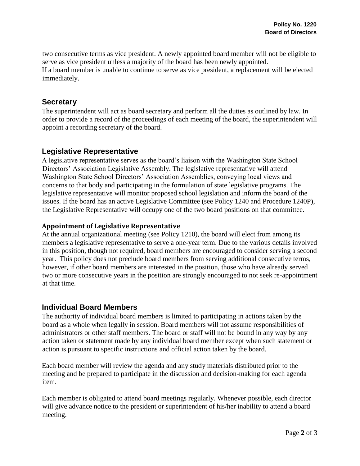two consecutive terms as vice president. A newly appointed board member will not be eligible to serve as vice president unless a majority of the board has been newly appointed. If a board member is unable to continue to serve as vice president, a replacement will be elected immediately.

### **Secretary**

The superintendent will act as board secretary and perform all the duties as outlined by law. In order to provide a record of the proceedings of each meeting of the board, the superintendent will appoint a recording secretary of the board.

## **Legislative Representative**

A legislative representative serves as the board's liaison with the Washington State School Directors' Association Legislative Assembly. The legislative representative will attend Washington State School Directors' Association Assemblies, conveying local views and concerns to that body and participating in the formulation of state legislative programs. The legislative representative will monitor proposed school legislation and inform the board of the issues. If the board has an active Legislative Committee (see Policy 1240 and Procedure 1240P), the Legislative Representative will occupy one of the two board positions on that committee.

### **Appointment of Legislative Representative**

At the annual organizational meeting (see Policy 1210), the board will elect from among its members a legislative representative to serve a one-year term. Due to the various details involved in this position, though not required, board members are encouraged to consider serving a second year. This policy does not preclude board members from serving additional consecutive terms, however, if other board members are interested in the position, those who have already served two or more consecutive years in the position are strongly encouraged to not seek re-appointment at that time.

### **Individual Board Members**

The authority of individual board members is limited to participating in actions taken by the board as a whole when legally in session. Board members will not assume responsibilities of administrators or other staff members. The board or staff will not be bound in any way by any action taken or statement made by any individual board member except when such statement or action is pursuant to specific instructions and official action taken by the board.

Each board member will review the agenda and any study materials distributed prior to the meeting and be prepared to participate in the discussion and decision-making for each agenda item.

Each member is obligated to attend board meetings regularly. Whenever possible, each director will give advance notice to the president or superintendent of his/her inability to attend a board meeting.